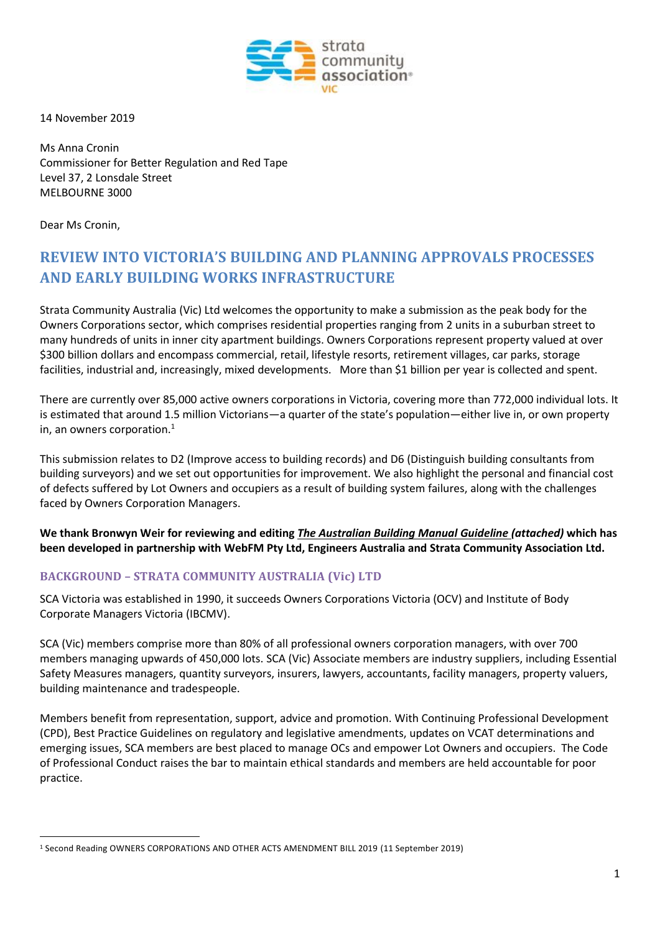

14 November 2019

Ms Anna Cronin Commissioner for Better Regulation and Red Tape Level 37, 2 Lonsdale Street MELBOURNE 3000

Dear Ms Cronin,

## **REVIEW INTO VICTORIA'S BUILDING AND PLANNING APPROVALS PROCESSES AND EARLY BUILDING WORKS INFRASTRUCTURE**

Strata Community Australia (Vic) Ltd welcomes the opportunity to make a submission as the peak body for the Owners Corporations sector, which comprises residential properties ranging from 2 units in a suburban street to many hundreds of units in inner city apartment buildings. Owners Corporations represent property valued at over \$300 billion dollars and encompass commercial, retail, lifestyle resorts, retirement villages, car parks, storage facilities, industrial and, increasingly, mixed developments. More than \$1 billion per year is collected and spent.

There are currently over 85,000 active owners corporations in Victoria, covering more than 772,000 individual lots. It is estimated that around 1.5 million Victorians—a quarter of the state's population—either live in, or own property in, an owners corporation.<sup>1</sup>

This submission relates to D2 (Improve access to building records) and D6 (Distinguish building consultants from building surveyors) and we set out opportunities for improvement. We also highlight the personal and financial cost of defects suffered by Lot Owners and occupiers as a result of building system failures, along with the challenges faced by Owners Corporation Managers.

**We thank Bronwyn Weir for reviewing and editing** *The Australian Building Manual Guideline (attached)* **which has been developed in partnership with WebFM Pty Ltd, Engineers Australia and Strata Community Association Ltd.** 

## **BACKGROUND – STRATA COMMUNITY AUSTRALIA (Vic) LTD**

SCA Victoria was established in 1990, it succeeds Owners Corporations Victoria (OCV) and Institute of Body Corporate Managers Victoria (IBCMV).

SCA (Vic) members comprise more than 80% of all professional owners corporation managers, with over 700 members managing upwards of 450,000 lots. SCA (Vic) Associate members are industry suppliers, including Essential Safety Measures managers, quantity surveyors, insurers, lawyers, accountants, facility managers, property valuers, building maintenance and tradespeople.

Members benefit from representation, support, advice and promotion. With Continuing Professional Development (CPD), Best Practice Guidelines on regulatory and legislative amendments, updates on VCAT determinations and emerging issues, SCA members are best placed to manage OCs and empower Lot Owners and occupiers. The Code of Professional Conduct raises the bar to maintain ethical standards and members are held accountable for poor practice.

<sup>1</sup> Second Reading OWNERS CORPORATIONS AND OTHER ACTS AMENDMENT BILL 2019 (11 September 2019)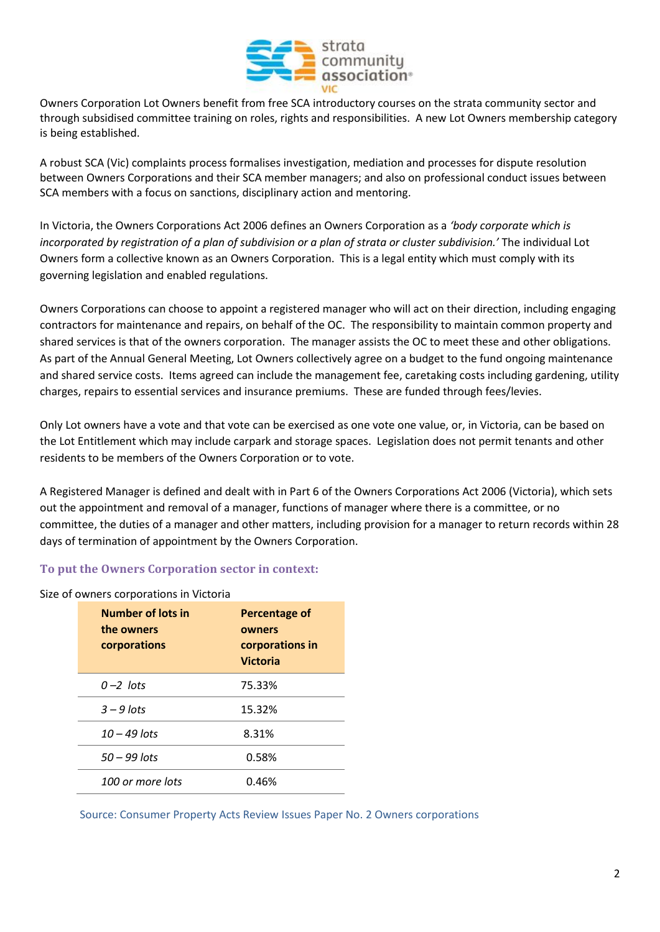

Owners Corporation Lot Owners benefit from free SCA introductory courses on the strata community sector and through subsidised committee training on roles, rights and responsibilities. A new Lot Owners membership category is being established.

A robust SCA (Vic) complaints process formalises investigation, mediation and processes for dispute resolution between Owners Corporations and their SCA member managers; and also on professional conduct issues between SCA members with a focus on sanctions, disciplinary action and mentoring.

In Victoria, the Owners Corporations Act 2006 defines an Owners Corporation as a *'body corporate which is incorporated by registration of a plan of subdivision or a plan of strata or cluster subdivision.'* The individual Lot Owners form a collective known as an Owners Corporation. This is a legal entity which must comply with its governing legislation and enabled regulations.

Owners Corporations can choose to appoint a registered manager who will act on their direction, including engaging contractors for maintenance and repairs, on behalf of the OC. The responsibility to maintain common property and shared services is that of the owners corporation. The manager assists the OC to meet these and other obligations. As part of the Annual General Meeting, Lot Owners collectively agree on a budget to the fund ongoing maintenance and shared service costs. Items agreed can include the management fee, caretaking costs including gardening, utility charges, repairs to essential services and insurance premiums. These are funded through fees/levies.

Only Lot owners have a vote and that vote can be exercised as one vote one value, or, in Victoria, can be based on the Lot Entitlement which may include carpark and storage spaces. Legislation does not permit tenants and other residents to be members of the Owners Corporation or to vote.

A Registered Manager is defined and dealt with in Part 6 of the Owners Corporations Act 2006 (Victoria), which sets out the appointment and removal of a manager, functions of manager where there is a committee, or no committee, the duties of a manager and other matters, including provision for a manager to return records within 28 days of termination of appointment by the Owners Corporation.

### **To put the Owners Corporation sector in context:**

| owners corporations in victoria |                          |                      |
|---------------------------------|--------------------------|----------------------|
|                                 | <b>Number of lots in</b> | <b>Percentage of</b> |
|                                 | the owners               | owners               |
|                                 | corporations             | corporations in      |
|                                 |                          | <b>Victoria</b>      |
|                                 | $0 - 2$ lots             | 75.33%               |
|                                 | $3 - 9$ lots             | 15.32%               |
|                                 | $10 - 49$ lots           | 8.31%                |
|                                 | $50 - 99$ lots           | 0.58%                |
|                                 | 100 or more lots         | 0.46%                |
|                                 |                          |                      |

#### Size of owners corporations in Victoria

Source: Consumer Property Acts Review Issues Paper No. 2 Owners corporations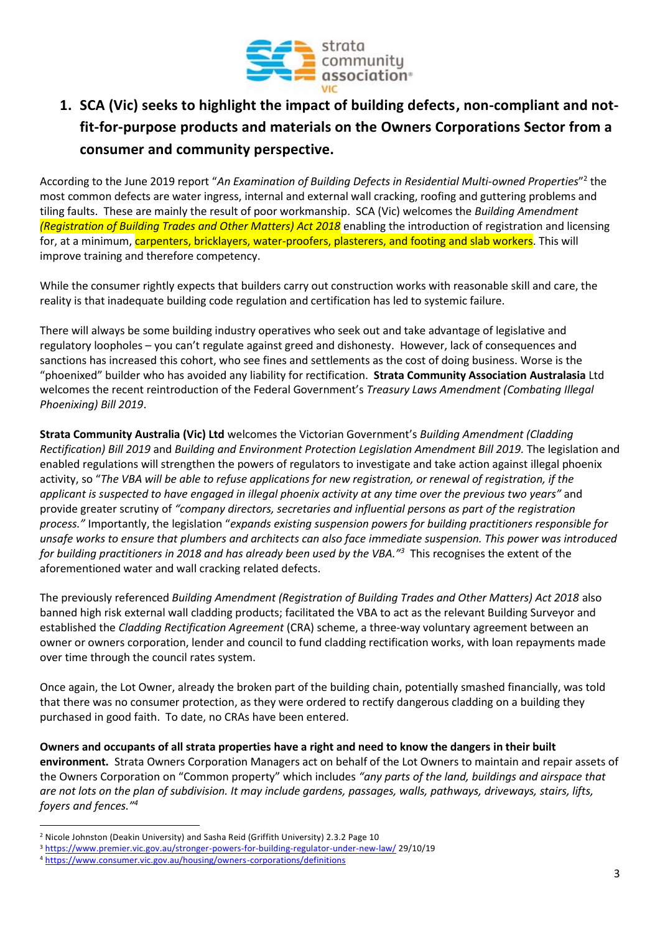

# **1. SCA (Vic) seeks to highlight the impact of building defects, non-compliant and notfit-for-purpose products and materials on the Owners Corporations Sector from a consumer and community perspective.**

According to the June 2019 report "An Examination of Building Defects in Residential Multi-owned Properties"<sup>2</sup> the most common defects are water ingress, internal and external wall cracking, roofing and guttering problems and tiling faults. These are mainly the result of poor workmanship. SCA (Vic) welcomes the *Building Amendment (Registration of Building Trades and Other Matters) Act 2018* enabling the introduction of registration and licensing for, at a minimum, carpenters, bricklayers, water-proofers, plasterers, and footing and slab workers. This will improve training and therefore competency.

While the consumer rightly expects that builders carry out construction works with reasonable skill and care, the reality is that inadequate building code regulation and certification has led to systemic failure.

There will always be some building industry operatives who seek out and take advantage of legislative and regulatory loopholes – you can't regulate against greed and dishonesty. However, lack of consequences and sanctions has increased this cohort, who see fines and settlements as the cost of doing business. Worse is the "phoenixed" builder who has avoided any liability for rectification. **Strata Community Association Australasia** Ltd welcomes the recent reintroduction of the Federal Government's *Treasury Laws Amendment (Combating Illegal Phoenixing) Bill 2019*.

**Strata Community Australia (Vic) Ltd** welcomes the Victorian Government's *Building Amendment (Cladding Rectification) Bill 2019* and *Building and Environment Protection Legislation Amendment Bill 2019.* The legislation and enabled regulations will strengthen the powers of regulators to investigate and take action against illegal phoenix activity, so "*The VBA will be able to refuse applications for new registration, or renewal of registration, if the applicant is suspected to have engaged in illegal phoenix activity at any time over the previous two years"* and provide greater scrutiny of *"company directors, secretaries and influential persons as part of the registration process."* Importantly, the legislation "*expands existing suspension powers for building practitioners responsible for unsafe works to ensure that plumbers and architects can also face immediate suspension. This power was introduced for building practitioners in 2018 and has already been used by the VBA." 3* This recognises the extent of the aforementioned water and wall cracking related defects.

The previously referenced *Building Amendment (Registration of Building Trades and Other Matters) Act 2018* also banned high risk external wall cladding products; facilitated the VBA to act as the relevant Building Surveyor and established the *Cladding Rectification Agreement* (CRA) scheme, a three-way voluntary agreement between an owner or owners corporation, lender and council to fund cladding rectification works, with loan repayments made over time through the council rates system.

Once again, the Lot Owner, already the broken part of the building chain, potentially smashed financially, was told that there was no consumer protection, as they were ordered to rectify dangerous cladding on a building they purchased in good faith. To date, no CRAs have been entered.

**Owners and occupants of all strata properties have a right and need to know the dangers in their built environment.** Strata Owners Corporation Managers act on behalf of the Lot Owners to maintain and repair assets of the Owners Corporation on "Common property" which includes *"any parts of the land, buildings and airspace that are not lots on the plan of subdivision. It may include gardens, passages, walls, pathways, driveways, stairs, lifts, foyers and fences."<sup>4</sup>*

<sup>2</sup> Nicole Johnston (Deakin University) and Sasha Reid (Griffith University) 2.3.2 Page 10

<sup>3</sup> <https://www.premier.vic.gov.au/stronger-powers-for-building-regulator-under-new-law/> 29/10/19

<sup>4</sup> <https://www.consumer.vic.gov.au/housing/owners-corporations/definitions>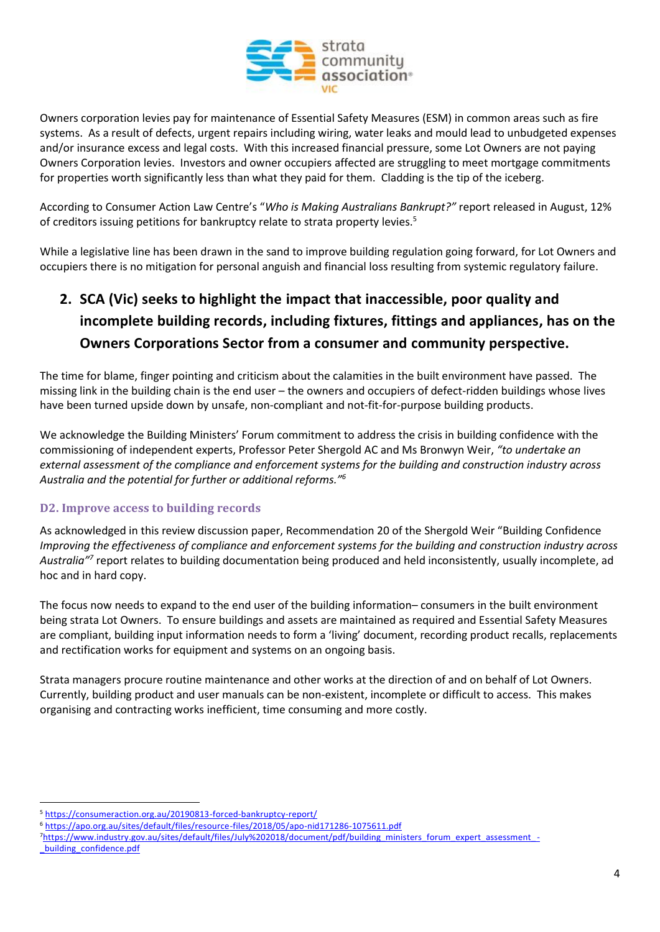

Owners corporation levies pay for maintenance of Essential Safety Measures (ESM) in common areas such as fire systems. As a result of defects, urgent repairs including wiring, water leaks and mould lead to unbudgeted expenses and/or insurance excess and legal costs. With this increased financial pressure, some Lot Owners are not paying Owners Corporation levies. Investors and owner occupiers affected are struggling to meet mortgage commitments for properties worth significantly less than what they paid for them. Cladding is the tip of the iceberg.

According to Consumer Action Law Centre's "*Who is Making Australians Bankrupt?"* report released in August, 12% of creditors issuing petitions for bankruptcy relate to strata property levies.<sup>5</sup>

While a legislative line has been drawn in the sand to improve building regulation going forward, for Lot Owners and occupiers there is no mitigation for personal anguish and financial loss resulting from systemic regulatory failure.

# **2. SCA (Vic) seeks to highlight the impact that inaccessible, poor quality and incomplete building records, including fixtures, fittings and appliances, has on the Owners Corporations Sector from a consumer and community perspective.**

The time for blame, finger pointing and criticism about the calamities in the built environment have passed. The missing link in the building chain is the end user – the owners and occupiers of defect-ridden buildings whose lives have been turned upside down by unsafe, non-compliant and not-fit-for-purpose building products.

We acknowledge the Building Ministers' Forum commitment to address the crisis in building confidence with the commissioning of independent experts, Professor Peter Shergold AC and Ms Bronwyn Weir, *"to undertake an external assessment of the compliance and enforcement systems for the building and construction industry across Australia and the potential for further or additional reforms." 6*

## **D2. Improve access to building records**

As acknowledged in this review discussion paper, Recommendation 20 of the Shergold Weir "Building Confidence *Improving the effectiveness of compliance and enforcement systems for the building and construction industry across*  Australia<sup>"7</sup> report relates to building documentation being produced and held inconsistently, usually incomplete, ad hoc and in hard copy.

The focus now needs to expand to the end user of the building information– consumers in the built environment being strata Lot Owners. To ensure buildings and assets are maintained as required and Essential Safety Measures are compliant, building input information needs to form a 'living' document, recording product recalls, replacements and rectification works for equipment and systems on an ongoing basis.

Strata managers procure routine maintenance and other works at the direction of and on behalf of Lot Owners. Currently, building product and user manuals can be non-existent, incomplete or difficult to access. This makes organising and contracting works inefficient, time consuming and more costly.

7[https://www.industry.gov.au/sites/default/files/July%202018/document/pdf/building\\_ministers\\_forum\\_expert\\_assessment\\_](https://www.industry.gov.au/sites/default/files/July%202018/document/pdf/building_ministers_forum_expert_assessment_-_building_confidence.pdf) [\\_building\\_confidence.pdf](https://www.industry.gov.au/sites/default/files/July%202018/document/pdf/building_ministers_forum_expert_assessment_-_building_confidence.pdf)

<sup>5</sup> <https://consumeraction.org.au/20190813-forced-bankruptcy-report/>

<sup>6</sup> <https://apo.org.au/sites/default/files/resource-files/2018/05/apo-nid171286-1075611.pdf>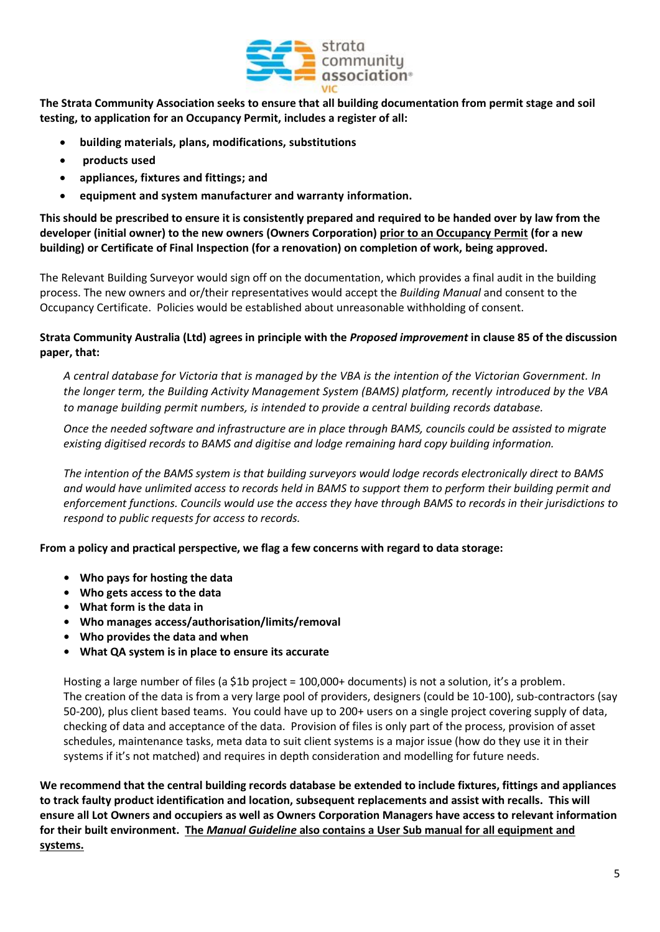

**The Strata Community Association seeks to ensure that all building documentation from permit stage and soil testing, to application for an Occupancy Permit, includes a register of all:**

- **building materials, plans, modifications, substitutions**
- **products used**
- **appliances, fixtures and fittings; and**
- **equipment and system manufacturer and warranty information.**

**This should be prescribed to ensure it is consistently prepared and required to be handed over by law from the developer (initial owner) to the new owners (Owners Corporation) prior to an Occupancy Permit (for a new building) or Certificate of Final Inspection (for a renovation) on completion of work, being approved.**

The Relevant Building Surveyor would sign off on the documentation, which provides a final audit in the building process. The new owners and or/their representatives would accept the *Building Manual* and consent to the Occupancy Certificate. Policies would be established about unreasonable withholding of consent.

#### **Strata Community Australia (Ltd) agrees in principle with the** *Proposed improvement* **in clause 85 of the discussion paper, that:**

*A central database for Victoria that is managed by the VBA is the intention of the Victorian Government. In the longer term, the Building Activity Management System (BAMS) platform, recently introduced by the VBA to manage building permit numbers, is intended to provide a central building records database.*

*Once the needed software and infrastructure are in place through BAMS, councils could be assisted to migrate existing digitised records to BAMS and digitise and lodge remaining hard copy building information.* 

*The intention of the BAMS system is that building surveyors would lodge records electronically direct to BAMS and would have unlimited access to records held in BAMS to support them to perform their building permit and enforcement functions. Councils would use the access they have through BAMS to records in their jurisdictions to respond to public requests for access to records.* 

**From a policy and practical perspective, we flag a few concerns with regard to data storage:** 

- **• Who pays for hosting the data**
- **• Who gets access to the data**
- **• What form is the data in**
- **• Who manages access/authorisation/limits/removal**
- **• Who provides the data and when**
- **• What QA system is in place to ensure its accurate**

Hosting a large number of files (a \$1b project = 100,000+ documents) is not a solution, it's a problem. The creation of the data is from a very large pool of providers, designers (could be 10-100), sub-contractors (say 50-200), plus client based teams. You could have up to 200+ users on a single project covering supply of data, checking of data and acceptance of the data. Provision of files is only part of the process, provision of asset schedules, maintenance tasks, meta data to suit client systems is a major issue (how do they use it in their systems if it's not matched) and requires in depth consideration and modelling for future needs.

**We recommend that the central building records database be extended to include fixtures, fittings and appliances to track faulty product identification and location, subsequent replacements and assist with recalls. This will ensure all Lot Owners and occupiers as well as Owners Corporation Managers have access to relevant information for their built environment. The** *Manual Guideline* **also contains a User Sub manual for all equipment and systems.**